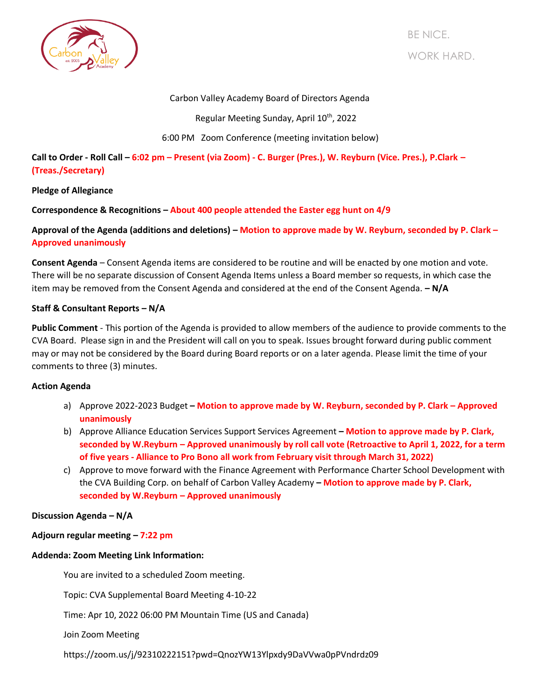

BE NICE. WORK HARD.

# Carbon Valley Academy Board of Directors Agenda

Regular Meeting Sunday, April 10<sup>th</sup>, 2022

# 6:00 PM Zoom Conference (meeting invitation below)

**Call to Order - Roll Call – 6:02 pm – Present (via Zoom) - C. Burger (Pres.), W. Reyburn (Vice. Pres.), P.Clark – (Treas./Secretary)**

### **Pledge of Allegiance**

**Correspondence & Recognitions – About 400 people attended the Easter egg hunt on 4/9**

**Approval of the Agenda (additions and deletions) – Motion to approve made by W. Reyburn, seconded by P. Clark – Approved unanimously**

**Consent Agenda** – Consent Agenda items are considered to be routine and will be enacted by one motion and vote. There will be no separate discussion of Consent Agenda Items unless a Board member so requests, in which case the item may be removed from the Consent Agenda and considered at the end of the Consent Agenda. **– N/A**

### **Staff & Consultant Reports – N/A**

**Public Comment** - This portion of the Agenda is provided to allow members of the audience to provide comments to the CVA Board. Please sign in and the President will call on you to speak. Issues brought forward during public comment may or may not be considered by the Board during Board reports or on a later agenda. Please limit the time of your comments to three (3) minutes.

#### **Action Agenda**

- a) Approve 2022-2023 Budget Motion to approve made by W. Reyburn, seconded by P. Clark Approved **unanimously**
- b) Approve Alliance Education Services Support Services Agreement **– Motion to approve made by P. Clark, seconded by W.Reyburn – Approved unanimously by roll call vote (Retroactive to April 1, 2022, for a term of five years - Alliance to Pro Bono all work from February visit through March 31, 2022)**
- c) Approve to move forward with the Finance Agreement with Performance Charter School Development with the CVA Building Corp. on behalf of Carbon Valley Academy **– Motion to approve made by P. Clark, seconded by W.Reyburn – Approved unanimously**

#### **Discussion Agenda – N/A**

#### **Adjourn regular meeting – 7:22 pm**

# **Addenda: Zoom Meeting Link Information:**

You are invited to a scheduled Zoom meeting.

Topic: CVA Supplemental Board Meeting 4-10-22

Time: Apr 10, 2022 06:00 PM Mountain Time (US and Canada)

Join Zoom Meeting

https://zoom.us/j/92310222151?pwd=QnozYW13Ylpxdy9DaVVwa0pPVndrdz09